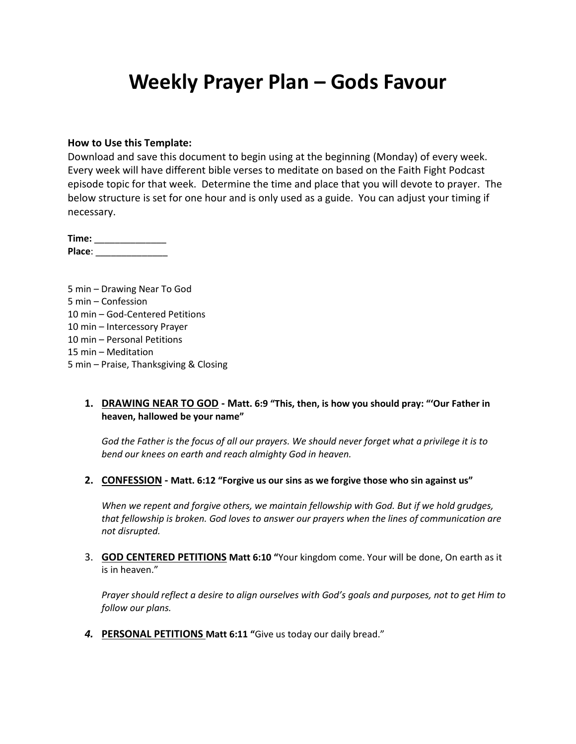## **Weekly Prayer Plan – Gods Favour**

#### **How to Use this Template:**

Download and save this document to begin using at the beginning (Monday) of every week. Every week will have different bible verses to meditate on based on the Faith Fight Podcast episode topic for that week. Determine the time and place that you will devote to prayer. The below structure is set for one hour and is only used as a guide. You can adjust your timing if necessary.

**Time:** \_\_\_\_\_\_\_\_\_\_\_\_\_\_ **Place**: \_\_\_\_\_\_\_\_\_\_\_\_\_\_

5 min – Drawing Near To God 5 min – Confession 10 min – God-Centered Petitions 10 min – Intercessory Prayer 10 min – Personal Petitions 15 min – Meditation 5 min – Praise, Thanksgiving & Closing

#### **1. DRAWING NEAR TO GOD - Matt. 6:9 "This, then, is how you should pray: "'Our Father in heaven, hallowed be your name"**

*God the Father is the focus of all our prayers. We should never forget what a privilege it is to bend our knees on earth and reach almighty God in heaven.*

**2. CONFESSION - Matt. 6:12 "Forgive us our sins as we forgive those who sin against us"**

*When we repent and forgive others, we maintain fellowship with God. But if we hold grudges, that fellowship is broken. God loves to answer our prayers when the lines of communication are not disrupted.*

3. **GOD CENTERED PETITIONS Matt 6:10 "**Your kingdom come. Your will be done, On earth as it is in heaven."

*Prayer should reflect a desire to align ourselves with God's goals and purposes, not to get Him to follow our plans.*

*4.* **PERSONAL PETITIONS Matt 6:11 "**Give us today our daily bread."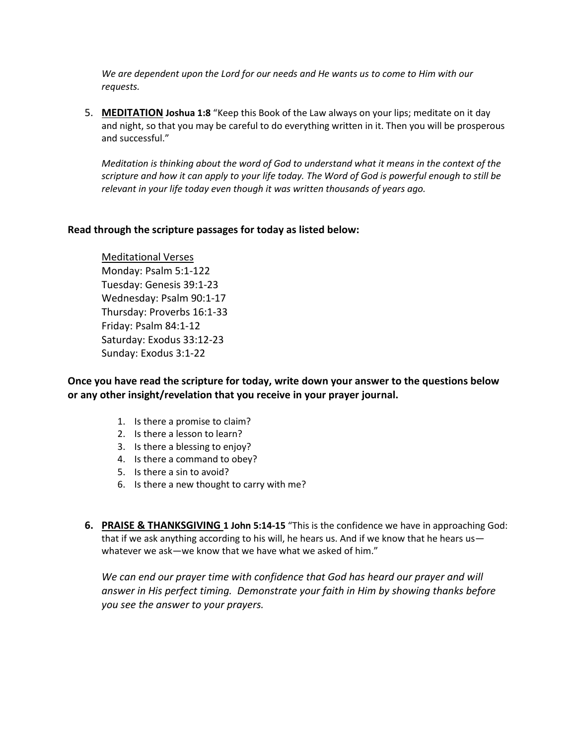*We are dependent upon the Lord for our needs and He wants us to come to Him with our requests.*

5. **MEDITATION Joshua 1:8** "Keep this Book of the Law always on your lips; meditate on it day and night, so that you may be careful to do everything written in it. Then you will be prosperous and successful."

*Meditation is thinking about the word of God to understand what it means in the context of the scripture and how it can apply to your life today. The Word of God is powerful enough to still be relevant in your life today even though it was written thousands of years ago.*

#### **Read through the scripture passages for today as listed below:**

Meditational Verses Monday: Psalm 5:1-122 Tuesday: Genesis 39:1-23 Wednesday: Psalm 90:1-17 Thursday: Proverbs 16:1-33 Friday: Psalm 84:1-12 Saturday: Exodus 33:12-23 Sunday: Exodus 3:1-22

### **Once you have read the scripture for today, write down your answer to the questions below or any other insight/revelation that you receive in your prayer journal.**

- 1. Is there a promise to claim?
- 2. Is there a lesson to learn?
- 3. Is there a blessing to enjoy?
- 4. Is there a command to obey?
- 5. Is there a sin to avoid?
- 6. Is there a new thought to carry with me?
- **6. PRAISE & THANKSGIVING 1 John 5:14-15** "This is the confidence we have in approaching God: that if we ask anything according to his will, he hears us. And if we know that he hears us whatever we ask—we know that we have what we asked of him."

We can end our prayer time with confidence that God has heard our prayer and will *answer in His perfect timing. Demonstrate your faith in Him by showing thanks before you see the answer to your prayers.*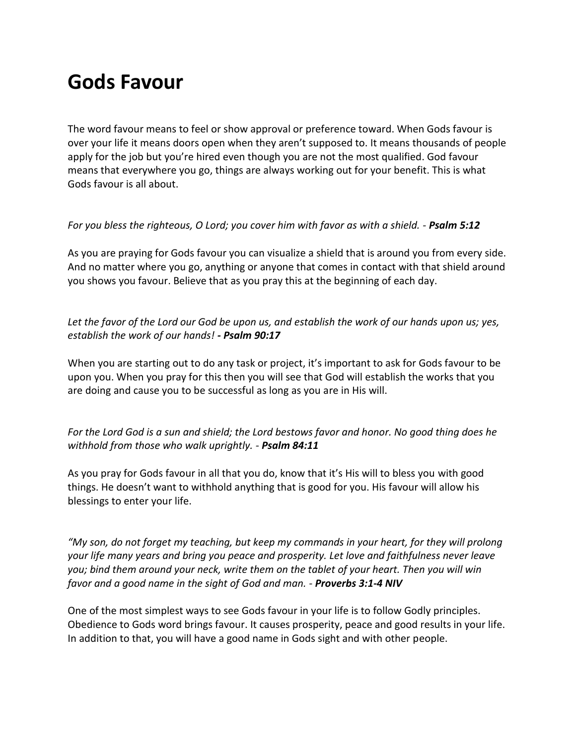# **Gods Favour**

The word favour means to feel or show approval or preference toward. When Gods favour is over your life it means doors open when they aren't supposed to. It means thousands of people apply for the job but you're hired even though you are not the most qualified. God favour means that everywhere you go, things are always working out for your benefit. This is what Gods favour is all about.

#### *For you bless the righteous, O Lord; you cover him with favor as with a shield. - Psalm 5:12*

As you are praying for Gods favour you can visualize a shield that is around you from every side. And no matter where you go, anything or anyone that comes in contact with that shield around you shows you favour. Believe that as you pray this at the beginning of each day.

*Let the favor of the Lord our God be upon us, and establish the work of our hands upon us; yes, establish the work of our hands! - Psalm 90:17*

When you are starting out to do any task or project, it's important to ask for Gods favour to be upon you. When you pray for this then you will see that God will establish the works that you are doing and cause you to be successful as long as you are in His will.

*For the Lord God is a sun and shield; the Lord bestows favor and honor. No good thing does he withhold from those who walk uprightly. - Psalm 84:11*

As you pray for Gods favour in all that you do, know that it's His will to bless you with good things. He doesn't want to withhold anything that is good for you. His favour will allow his blessings to enter your life.

*"My son, do not forget my teaching, but keep my commands in your heart, for they will prolong your life many years and bring you peace and prosperity. Let love and faithfulness never leave you; bind them around your neck, write them on the tablet of your heart. Then you will win favor and a good name in the sight of God and man. - Proverbs 3:1-4 NIV*

One of the most simplest ways to see Gods favour in your life is to follow Godly principles. Obedience to Gods word brings favour. It causes prosperity, peace and good results in your life. In addition to that, you will have a good name in Gods sight and with other people.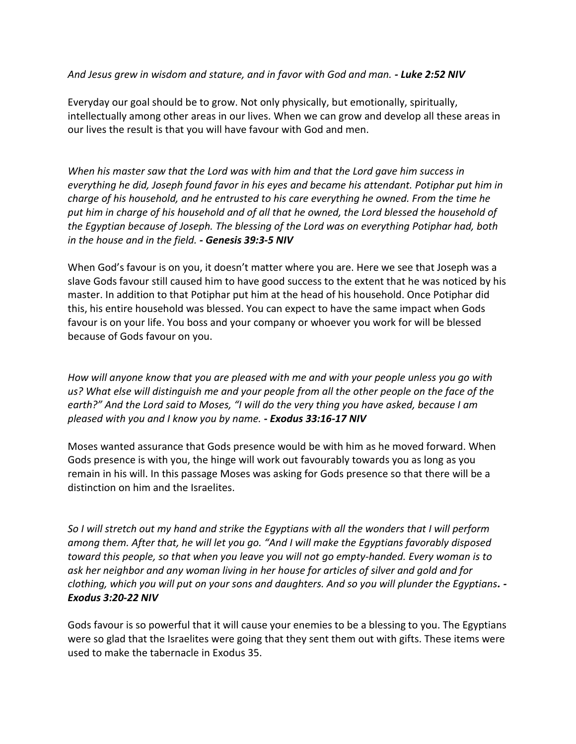### *And Jesus grew in wisdom and stature, and in favor with God and man. - Luke 2:52 NIV*

Everyday our goal should be to grow. Not only physically, but emotionally, spiritually, intellectually among other areas in our lives. When we can grow and develop all these areas in our lives the result is that you will have favour with God and men.

*When his master saw that the Lord was with him and that the Lord gave him success in everything he did, Joseph found favor in his eyes and became his attendant. Potiphar put him in charge of his household, and he entrusted to his care everything he owned. From the time he put him in charge of his household and of all that he owned, the Lord blessed the household of the Egyptian because of Joseph. The blessing of the Lord was on everything Potiphar had, both in the house and in the field. - Genesis 39:3-5 NIV*

When God's favour is on you, it doesn't matter where you are. Here we see that Joseph was a slave Gods favour still caused him to have good success to the extent that he was noticed by his master. In addition to that Potiphar put him at the head of his household. Once Potiphar did this, his entire household was blessed. You can expect to have the same impact when Gods favour is on your life. You boss and your company or whoever you work for will be blessed because of Gods favour on you.

*How will anyone know that you are pleased with me and with your people unless you go with us? What else will distinguish me and your people from all the other people on the face of the earth?" And the Lord said to Moses, "I will do the very thing you have asked, because I am pleased with you and I know you by name. - Exodus 33:16-17 NIV*

Moses wanted assurance that Gods presence would be with him as he moved forward. When Gods presence is with you, the hinge will work out favourably towards you as long as you remain in his will. In this passage Moses was asking for Gods presence so that there will be a distinction on him and the Israelites.

*So I will stretch out my hand and strike the Egyptians with all the wonders that I will perform among them. After that, he will let you go. "And I will make the Egyptians favorably disposed toward this people, so that when you leave you will not go empty-handed. Every woman is to ask her neighbor and any woman living in her house for articles of silver and gold and for clothing, which you will put on your sons and daughters. And so you will plunder the Egyptians. - Exodus 3:20-22 NIV*

Gods favour is so powerful that it will cause your enemies to be a blessing to you. The Egyptians were so glad that the Israelites were going that they sent them out with gifts. These items were used to make the tabernacle in Exodus 35.